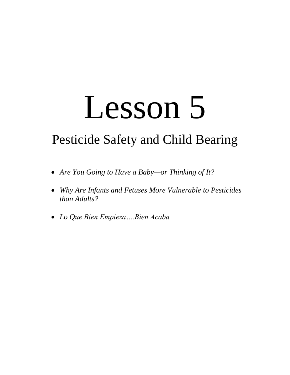# Lesson 5

# Pesticide Safety and Child Bearing

- *Are You Going to Have a Baby—or Thinking of It?*
- *Why Are Infants and Fetuses More Vulnerable to Pesticides than Adults?*
- *Lo Que Bien Empieza….Bien Acaba*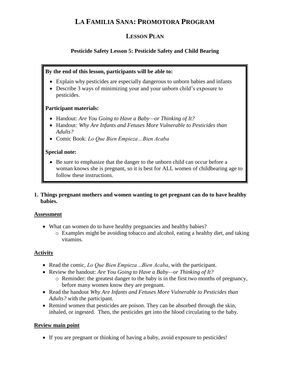## **LA FAMILIA SANA: PROMOTORA PROGRAM**

### **LESSON PLAN**

#### **Pesticide Safety Lesson 5: Pesticide Safety and Child Bearing**

#### **By the end of this lesson, participants will be able to:**

- Explain why pesticides are especially dangerous to unborn babies and infants
- Describe 3 ways of minimizing your and your unborn child's exposure to pesticides.

#### **Participant materials:**

- Handout: *Are You Going to Have a Baby—or Thinking of It?*
- Handout*: Why Are Infants and Fetuses More Vulnerable to Pesticides than Adults?*
- Comic Book: *Lo Que Bien Empieza…Bien Acaba*

#### **Special note:**

- Be sure to emphasize that the danger to the unborn child can occur before a woman knows she is pregnant, so it is best for ALL women of childbearing age to follow these instructions.
- **1. Things pregnant mothers and women wanting to get pregnant can do to have healthy babies.**

#### **Assessment**

- What can women do to have healthy pregnancies and healthy babies?
	- o Examples might be avoiding tobacco and alcohol, eating a healthy diet, and taking vitamins.

#### **Activity**

- Read the comic, *Lo Que Bien Empieza…Bien Acaba*, with the participant.
- Review the handout: *Are You Going to Have a Baby—or Thinking of It?*
	- o Reminder: the greatest danger to the baby is in the first two months of pregnancy, before many women know they are pregnant.
- Read the handout *Why Are Infants and Fetuses More Vulnerable to Pesticides than Adults?* with the participant.
- Remind women that pesticides are poison. They can be absorbed through the skin, inhaled, or ingested. Then, the pesticides get into the blood circulating to the baby.

#### **Review main point**

If you are pregnant or thinking of having a baby, avoid exposure to pesticides!